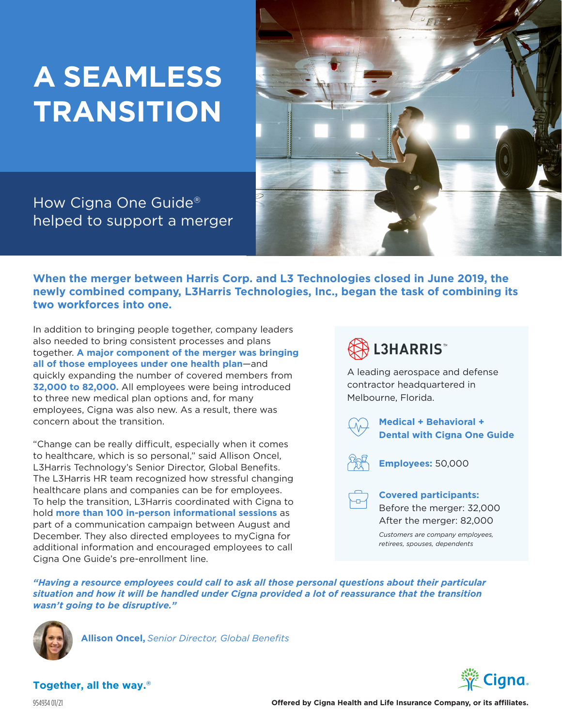# **A SEAMLESS TRANSITION**



How Cigna One Guide® helped to support a merger

**When the merger between Harris Corp. and L3 Technologies closed in June 2019, the newly combined company, L3Harris Technologies, Inc., began the task of combining its two workforces into one.**

In addition to bringing people together, company leaders also needed to bring consistent processes and plans together. **A major component of the merger was bringing all of those employees under one health plan**—and quickly expanding the number of covered members from **32,000 to 82,000.** All employees were being introduced to three new medical plan options and, for many employees, Cigna was also new. As a result, there was concern about the transition.

"Change can be really difficult, especially when it comes to healthcare, which is so personal," said Allison Oncel, L3Harris Technology's Senior Director, Global Benefits. The L3Harris HR team recognized how stressful changing healthcare plans and companies can be for employees. To help the transition, L3Harris coordinated with Cigna to hold **more than 100 in-person informational sessions** as part of a communication campaign between August and December. They also directed employees to myCigna for additional information and encouraged employees to call Cigna One Guide's pre-enrollment line.



A leading aerospace and defense contractor headquartered in Melbourne, Florida.



**Medical + Behavioral + Dental with Cigna One Guide**



**Employees:** 50,000



**Covered participants:** Before the merger: 32,000 After the merger: 82,000

*Customers are company employees, retirees, spouses, dependents*

*"Having a resource employees could call to ask all those personal questions about their particular situation and how it will be handled under Cigna provided a lot of reassurance that the transition wasn't going to be disruptive."*



**Allison Oncel,** *Senior Director, Global Benefits*



**Together, all the way.®**